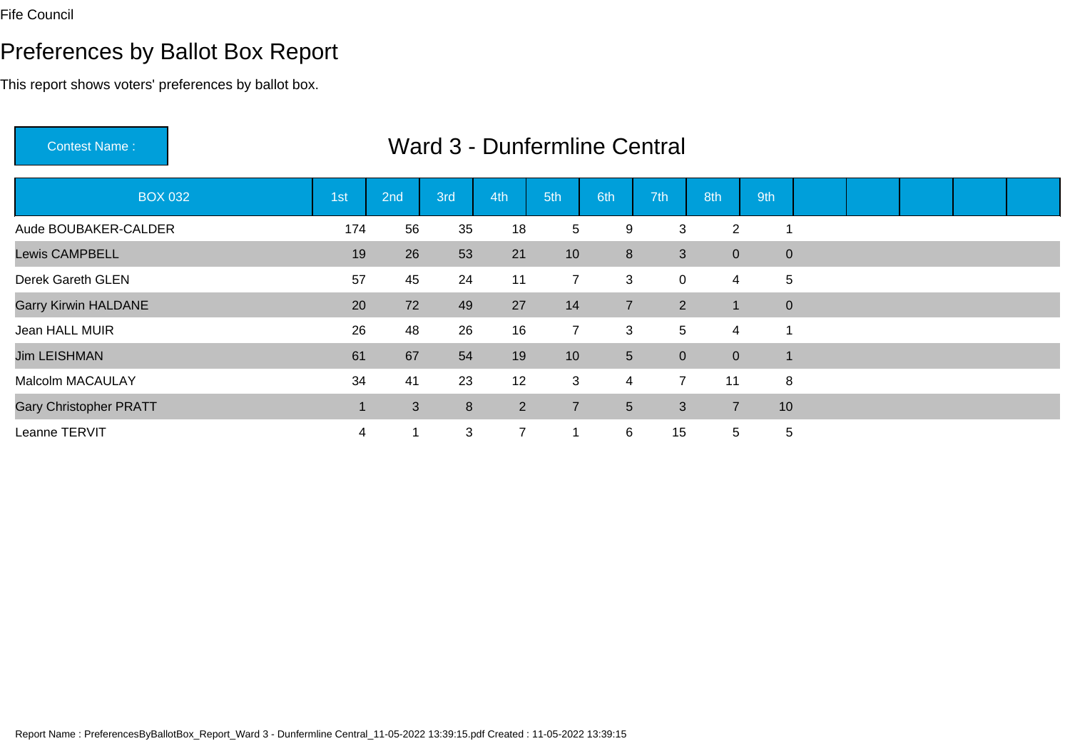Contest Name :

# Preferences by Ballot Box Report

This report shows voters' preferences by ballot box.

| <b>BOX 032</b>                | 1st | 2nd | 3rd | 4th            | 5th             | 6th                     | 7th            | 8th            | 9th            |  |  |  |
|-------------------------------|-----|-----|-----|----------------|-----------------|-------------------------|----------------|----------------|----------------|--|--|--|
| Aude BOUBAKER-CALDER          | 174 | 56  | 35  | 18             | 5               | 9                       | 3              | 2              |                |  |  |  |
| <b>Lewis CAMPBELL</b>         | 19  | 26  | 53  | 21             | 10 <sup>°</sup> | 8                       | 3              | $\overline{0}$ | $\mathbf 0$    |  |  |  |
| Derek Gareth GLEN             | 57  | 45  | 24  | 11             | $\overline{7}$  | 3                       | 0              | 4              | 5              |  |  |  |
| <b>Garry Kirwin HALDANE</b>   | 20  | 72  | 49  | 27             | 14              | $\overline{7}$          | $\overline{2}$ | $\mathbf 1$    | $\mathbf{0}$   |  |  |  |
| Jean HALL MUIR                | 26  | 48  | 26  | 16             | $\overline{7}$  | 3                       | 5              | 4              | 1              |  |  |  |
| <b>Jim LEISHMAN</b>           | 61  | 67  | 54  | 19             | 10 <sup>°</sup> | 5 <sup>5</sup>          | $\overline{0}$ | $\overline{0}$ | $\overline{1}$ |  |  |  |
| Malcolm MACAULAY              | 34  | 41  | 23  | 12             | 3               | $\overline{\mathbf{4}}$ | $\overline{7}$ | 11             | 8              |  |  |  |
| <b>Gary Christopher PRATT</b> |     | 3   | 8   | 2              | $\overline{7}$  | 5 <sup>5</sup>          | 3              | $\overline{7}$ | 10             |  |  |  |
| Leanne TERVIT                 | 4   |     | 3   | $\overline{7}$ | 1               | 6                       | 15             | 5              | 5              |  |  |  |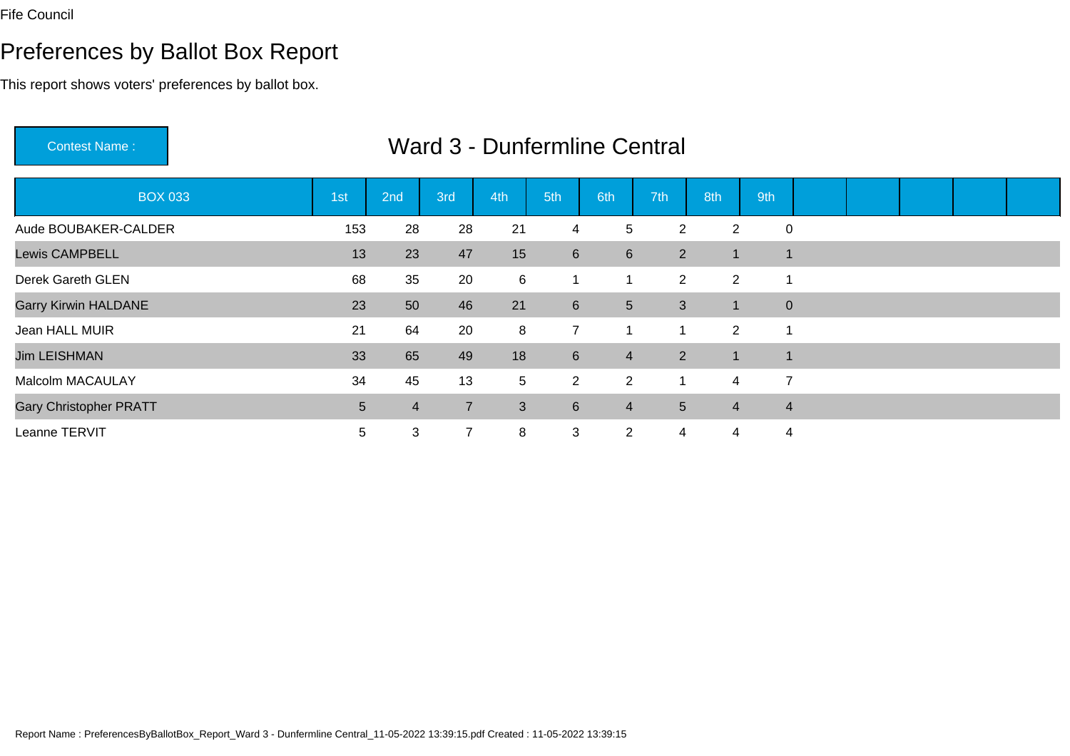# Preferences by Ballot Box Report

| <b>Contest Name:</b>          |                 |     |                |     |                | <b>Ward 3 - Dunfermline Central</b> |                |                |                |  |  |  |
|-------------------------------|-----------------|-----|----------------|-----|----------------|-------------------------------------|----------------|----------------|----------------|--|--|--|
| <b>BOX 033</b>                | 1st             | 2nd | 3rd            | 4th | 5th            | 6th                                 | 7th            | 8th            | 9th            |  |  |  |
| Aude BOUBAKER-CALDER          | 153             | 28  | 28             | 21  | $\overline{4}$ | 5                                   | 2              | $\overline{2}$ | $\mathbf 0$    |  |  |  |
| <b>Lewis CAMPBELL</b>         | 13              | 23  | 47             | 15  | $6\phantom{1}$ | $6\phantom{1}$                      | $\overline{2}$ |                | $\mathbf{1}$   |  |  |  |
| Derek Gareth GLEN             | 68              | 35  | 20             | 6   | $\mathbf{1}$   | $\mathbf 1$                         | $\mathbf{2}$   | $\overline{2}$ | -1             |  |  |  |
| <b>Garry Kirwin HALDANE</b>   | 23              | 50  | 46             | 21  | $6\phantom{1}$ | 5 <sup>5</sup>                      | 3              |                | $\mathbf{0}$   |  |  |  |
| Jean HALL MUIR                | 21              | 64  | 20             | 8   | $\overline{7}$ | 1                                   | -1             | 2              | $\mathbf 1$    |  |  |  |
| <b>Jim LEISHMAN</b>           | 33              | 65  | 49             | 18  | 6              | $\overline{4}$                      | $2^{\circ}$    | 1              | $\mathbf{1}$   |  |  |  |
| Malcolm MACAULAY              | 34              | 45  | 13             | 5   | $\overline{2}$ | $\overline{2}$                      | 1              | $\overline{4}$ | $\overline{7}$ |  |  |  |
| <b>Gary Christopher PRATT</b> | $5\phantom{.0}$ | 4   | $\overline{7}$ | 3   | $6\phantom{1}$ | $\overline{4}$                      | 5              | $\overline{4}$ | $\overline{4}$ |  |  |  |
| Leanne TERVIT                 | 5               | 3   | $\overline{7}$ | 8   | 3              | $\overline{2}$                      | 4              | 4              | $\overline{4}$ |  |  |  |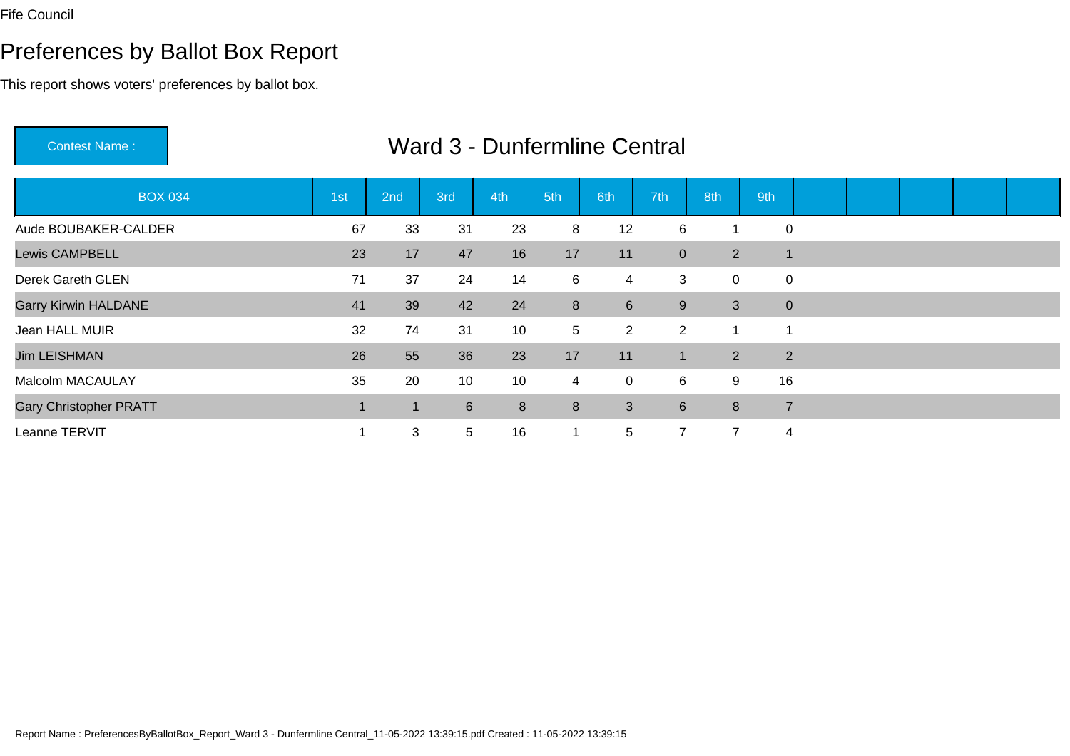Contest Name :

# Preferences by Ballot Box Report

This report shows voters' preferences by ballot box.

| <b>BOX 034</b>                | 1st | 2nd | 3rd             | 4th | 5th            | 6th             | 7th              | 8th            | 9th            |                |  |  |
|-------------------------------|-----|-----|-----------------|-----|----------------|-----------------|------------------|----------------|----------------|----------------|--|--|
| Aude BOUBAKER-CALDER          | 67  | 33  | 31              | 23  | 8              | 12              | 6                |                |                | $\mathbf 0$    |  |  |
| <b>Lewis CAMPBELL</b>         | 23  | 17  | 47              | 16  | 17             | 11              | $\overline{0}$   | $\overline{2}$ | $\overline{1}$ |                |  |  |
| Derek Gareth GLEN             | 71  | 37  | 24              | 14  | 6              | $\overline{4}$  | 3                | $\mathbf 0$    |                | $\pmb{0}$      |  |  |
| <b>Garry Kirwin HALDANE</b>   | 41  | 39  | 42              | 24  | 8              | $6\overline{6}$ | 9                | $\mathbf{3}$   | $\mathbf{0}$   |                |  |  |
| Jean HALL MUIR                | 32  | 74  | 31              | 10  | 5 <sup>5</sup> | $\overline{2}$  | $\overline{2}$   |                | 1              |                |  |  |
| <b>Jim LEISHMAN</b>           | 26  | 55  | 36              | 23  | 17             | 11              | $\mathbf{1}$     | 2              |                | $\overline{2}$ |  |  |
| <b>Malcolm MACAULAY</b>       | 35  | 20  | 10              | 10  | $\overline{4}$ | 0               | 6                | 9              | 16             |                |  |  |
| <b>Gary Christopher PRATT</b> |     |     | $6^{\circ}$     | 8   | 8              | $\mathbf{3}$    | $6 \overline{6}$ | 8              |                | $\overline{7}$ |  |  |
| Leanne TERVIT                 |     | 3   | $5\phantom{.0}$ | 16  |                | 5               | $\overline{7}$   | 7              | $\overline{4}$ |                |  |  |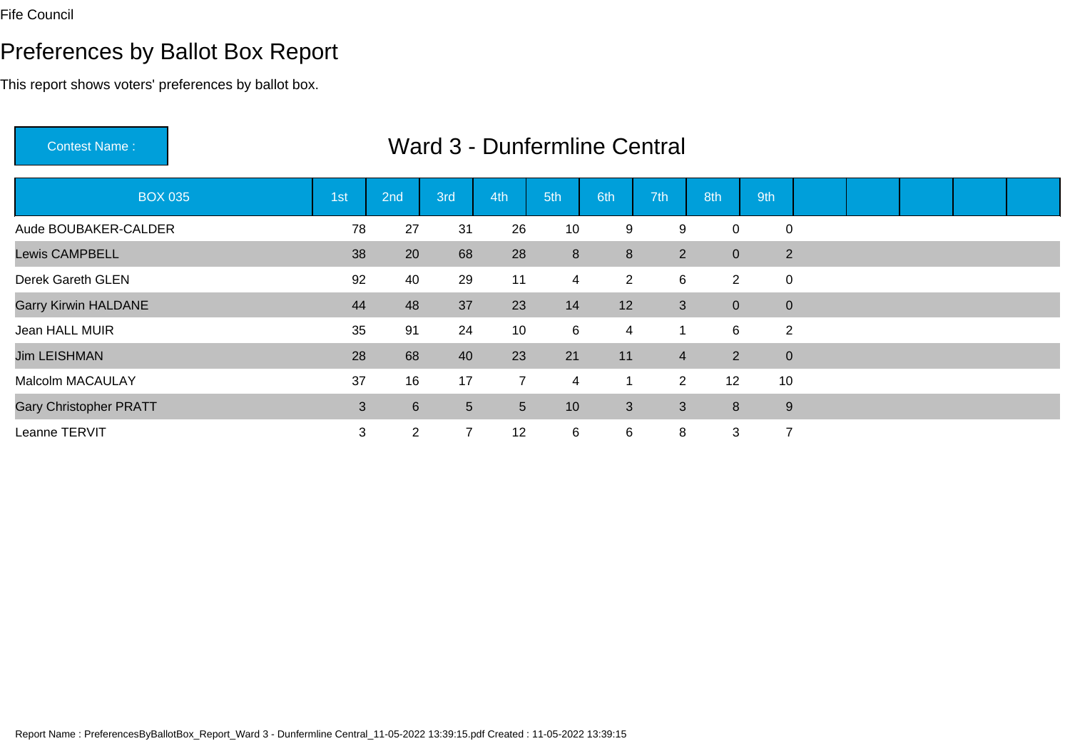# Preferences by Ballot Box Report

| <b>Contest Name:</b>          |              |                |                |                |                 | Ward 3 - Dunfermline Central |                  |                |                |  |  |  |
|-------------------------------|--------------|----------------|----------------|----------------|-----------------|------------------------------|------------------|----------------|----------------|--|--|--|
| <b>BOX 035</b>                | 1st          | 2nd            | 3rd            | 4th            | 5th             | 6th                          | 7th <sup>1</sup> | 8th            | 9th            |  |  |  |
| Aude BOUBAKER-CALDER          | 78           | 27             | 31             | 26             | 10              | 9                            | 9                | $\mathbf 0$    | 0              |  |  |  |
| <b>Lewis CAMPBELL</b>         | 38           | 20             | 68             | 28             | 8               | 8                            | $2^{\circ}$      | $\overline{0}$ | $\overline{2}$ |  |  |  |
| <b>Derek Gareth GLEN</b>      | 92           | 40             | 29             | 11             | $\overline{4}$  | $\overline{2}$               | 6                | $\overline{2}$ | $\mathbf 0$    |  |  |  |
| <b>Garry Kirwin HALDANE</b>   | 44           | 48             | 37             | 23             | 14              | 12                           | 3                | $\overline{0}$ | $\overline{0}$ |  |  |  |
| Jean HALL MUIR                | 35           | 91             | 24             | 10             | 6               | 4                            |                  | 6              | $\overline{2}$ |  |  |  |
| <b>Jim LEISHMAN</b>           | 28           | 68             | 40             | 23             | 21              | 11                           | $\overline{4}$   | $\overline{2}$ | $\overline{0}$ |  |  |  |
| <b>Malcolm MACAULAY</b>       | 37           | 16             | 17             | $\overline{7}$ | $\overline{4}$  | $\mathbf{1}$                 | $\overline{2}$   | 12             | 10             |  |  |  |
| <b>Gary Christopher PRATT</b> | $\mathbf{3}$ | $6\phantom{1}$ | 5 <sup>5</sup> | 5              | 10 <sup>°</sup> | 3                            | 3                | 8              | 9              |  |  |  |
| Leanne TERVIT                 | 3            | $\overline{2}$ | 7              | 12             | 6               | 6                            | 8                | 3              | $\overline{7}$ |  |  |  |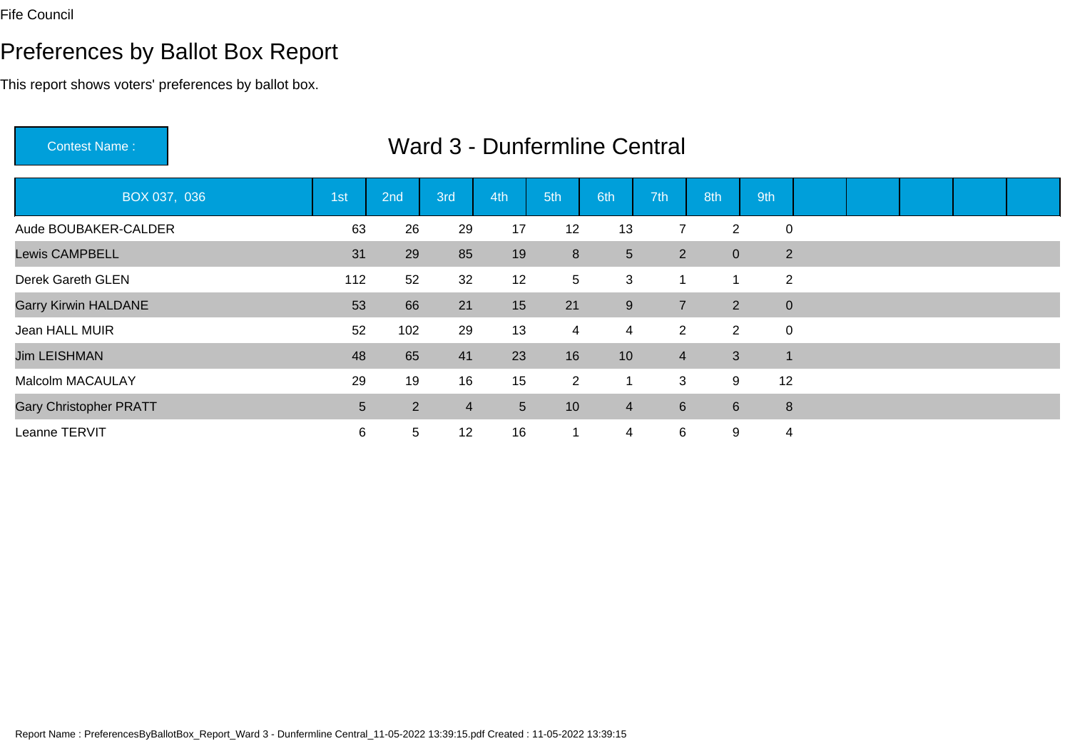# Preferences by Ballot Box Report

| <b>Contest Name:</b>          |     |                |                |     |                 | <b>Ward 3 - Dunfermline Central</b> |                |                 |                |              |  |  |
|-------------------------------|-----|----------------|----------------|-----|-----------------|-------------------------------------|----------------|-----------------|----------------|--------------|--|--|
| BOX 037, 036                  | 1st | 2nd            | 3rd            | 4th | 5th             | 6th                                 | 7th            | 8th             | 9th            |              |  |  |
| Aude BOUBAKER-CALDER          | 63  | 26             | 29             | 17  | 12              | 13                                  | $\overline{7}$ | $\overline{2}$  | $\mathbf 0$    |              |  |  |
| <b>Lewis CAMPBELL</b>         | 31  | 29             | 85             | 19  | 8               | $5\phantom{.0}$                     | $\overline{2}$ | $\overline{0}$  |                | 2            |  |  |
| Derek Gareth GLEN             | 112 | 52             | 32             | 12  | 5 <sup>5</sup>  | 3                                   |                | 1               | $\overline{2}$ |              |  |  |
| <b>Garry Kirwin HALDANE</b>   | 53  | 66             | 21             | 15  | 21              | 9                                   | $\overline{7}$ | $2^{\circ}$     |                | $\mathbf{0}$ |  |  |
| Jean HALL MUIR                | 52  | 102            | 29             | 13  | $\overline{4}$  | $\overline{4}$                      | $\overline{2}$ | $\overline{2}$  | $\mathbf 0$    |              |  |  |
| <b>Jim LEISHMAN</b>           | 48  | 65             | 41             | 23  | 16              | 10                                  | $\overline{4}$ | $\mathbf{3}$    | $\mathbf{1}$   |              |  |  |
| <b>Malcolm MACAULAY</b>       | 29  | 19             | 16             | 15  | $2^{\circ}$     | 1                                   | 3              | 9               | 12             |              |  |  |
| <b>Gary Christopher PRATT</b> | 5   | $\overline{2}$ | $\overline{4}$ | 5   | 10 <sup>°</sup> | $\overline{4}$                      | $6^{\circ}$    | $6\overline{6}$ | 8              |              |  |  |
| Leanne TERVIT                 | 6   | 5              | 12             | 16  | 1               | 4                                   | 6              | 9               | 4              |              |  |  |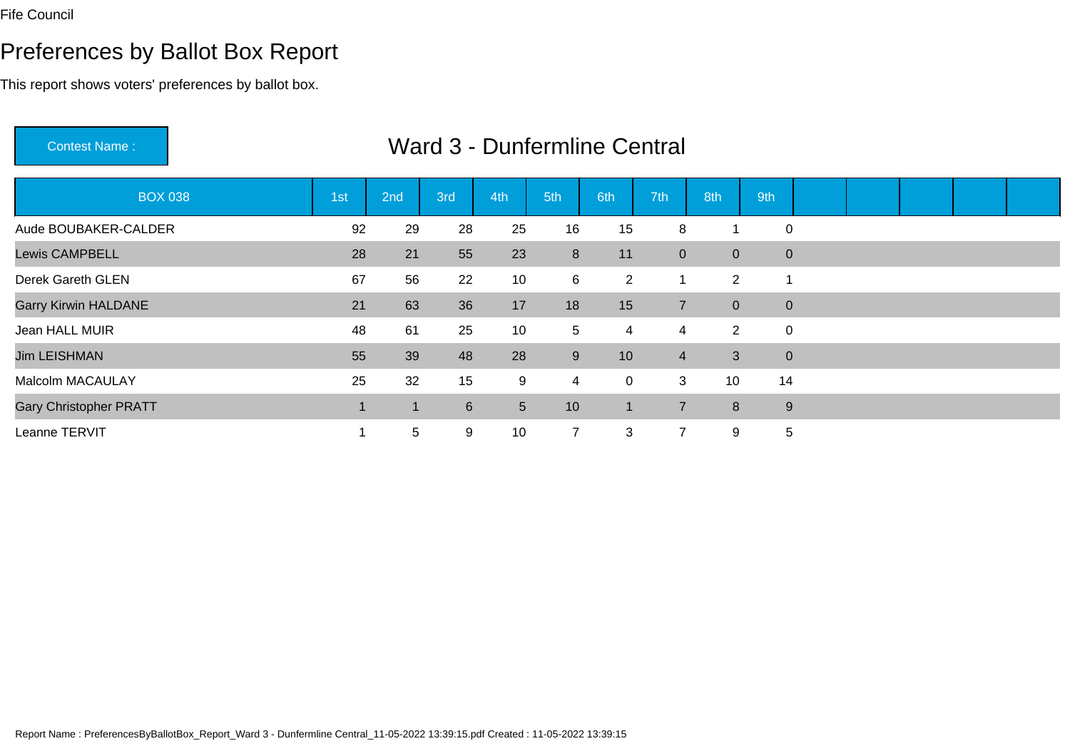Contest Name :

# Preferences by Ballot Box Report

This report shows voters' preferences by ballot box.

| <b>BOX 038</b>                | 1st | 2nd             | 3rd            | 4th             | 5th             | 6th            | 7th            | 8th            | 9th          |  |  |  |
|-------------------------------|-----|-----------------|----------------|-----------------|-----------------|----------------|----------------|----------------|--------------|--|--|--|
| Aude BOUBAKER-CALDER          | 92  | 29              | 28             | 25              | 16              | 15             | 8              |                | $\mathbf 0$  |  |  |  |
| <b>Lewis CAMPBELL</b>         | 28  | 21              | 55             | 23              | 8               | 11             | $\overline{0}$ | $\overline{0}$ | $\mathbf{0}$ |  |  |  |
| Derek Gareth GLEN             | 67  | 56              | 22             | 10              | 6               | $\overline{2}$ |                | $\overline{2}$ | 1            |  |  |  |
| <b>Garry Kirwin HALDANE</b>   | 21  | 63              | 36             | 17              | 18              | 15             | $\overline{7}$ | $\overline{0}$ | $\mathbf{0}$ |  |  |  |
| Jean HALL MUIR                | 48  | 61              | 25             | 10              | 5               | 4              | 4              | $\overline{2}$ | $\mathbf 0$  |  |  |  |
| <b>Jim LEISHMAN</b>           | 55  | 39              | 48             | 28              | 9               | 10             | $\overline{4}$ | 3 <sup>7</sup> | $\mathbf{0}$ |  |  |  |
| Malcolm MACAULAY              | 25  | 32              | 15             | 9               | $\overline{4}$  | $\mathsf 0$    | 3              | 10             | 14           |  |  |  |
| <b>Gary Christopher PRATT</b> |     |                 | $6\phantom{1}$ | $5\phantom{.0}$ | 10 <sup>1</sup> | $\mathbf 1$    | $\overline{7}$ | 8              | $9\,$        |  |  |  |
| Leanne TERVIT                 |     | $5\phantom{.0}$ | 9              | 10              | $\overline{7}$  | 3              | 7              | 9              | 5            |  |  |  |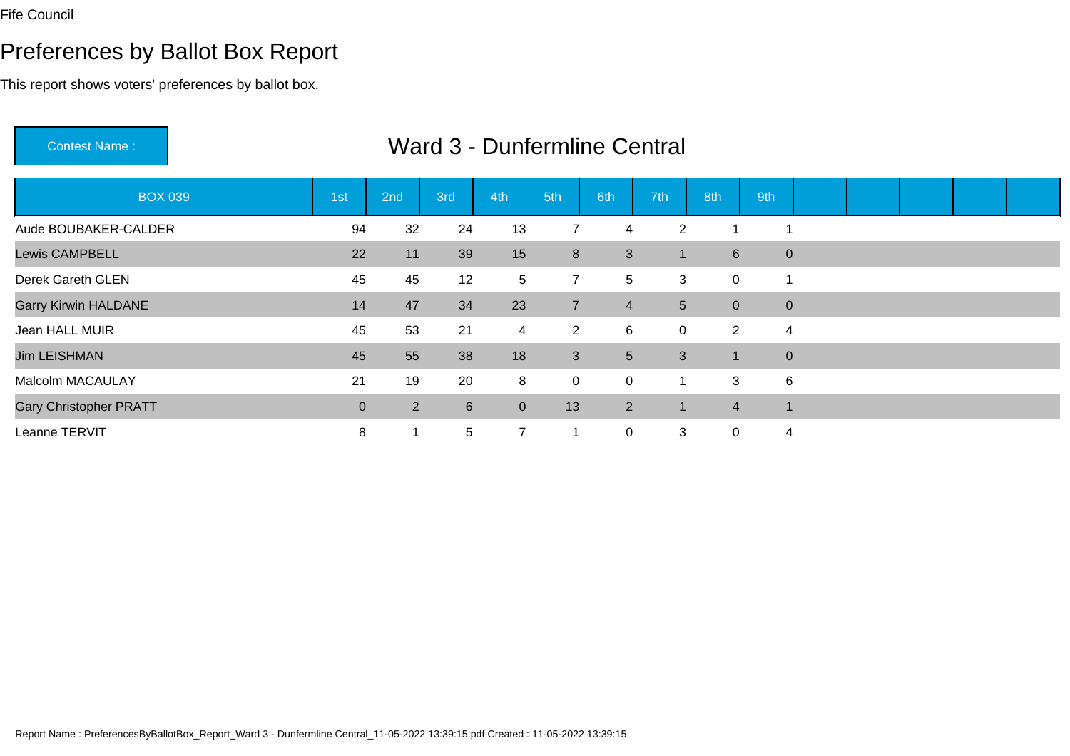Contest Name :

# Preferences by Ballot Box Report

This report shows voters' preferences by ballot box.

| <b>BOX 039</b>                | 1st         | 2nd            | 3rd             | 4th            | 5th            | 6th            | 7th            | 8th                  | 9th            |  |  |  |
|-------------------------------|-------------|----------------|-----------------|----------------|----------------|----------------|----------------|----------------------|----------------|--|--|--|
| Aude BOUBAKER-CALDER          | 94          | 32             | 24              | 13             | $\overline{7}$ | 4              | $\overline{2}$ |                      | -1             |  |  |  |
| <b>Lewis CAMPBELL</b>         | 22          | 11             | 39              | 15             | 8              | 3              |                | $6\overline{6}$      | $\mathbf 0$    |  |  |  |
| Derek Gareth GLEN             | 45          | 45             | 12              | $\sqrt{5}$     | $\overline{7}$ | 5              | 3              | $\mathbf 0$          | $\overline{1}$ |  |  |  |
| <b>Garry Kirwin HALDANE</b>   | 14          | 47             | 34              | 23             | $\overline{7}$ | $\overline{4}$ | 5 <sup>5</sup> | $\overline{0}$       | $\mathbf{0}$   |  |  |  |
| Jean HALL MUIR                | 45          | 53             | 21              | 4              | $2^{\circ}$    | 6              | $\mathbf 0$    | $\overline{2}$       | 4              |  |  |  |
| <b>Jim LEISHMAN</b>           | 45          | 55             | 38              | 18             | 3              | 5 <sup>5</sup> | $\mathfrak{S}$ | $\blacktriangleleft$ | $\mathbf{0}$   |  |  |  |
| Malcolm MACAULAY              | 21          | 19             | 20              | 8              | $\mathbf 0$    | $\mathbf 0$    |                | 3                    | 6              |  |  |  |
| <b>Gary Christopher PRATT</b> | $\mathbf 0$ | $\overline{2}$ | $6\overline{6}$ | $\mathbf{0}$   | 13             | $2^{\circ}$    |                | $\overline{4}$       | $\overline{1}$ |  |  |  |
| Leanne TERVIT                 | 8           |                | $5\phantom{.0}$ | $\overline{7}$ | 1              | $\mathsf{O}$   | 3              | 0                    | 4              |  |  |  |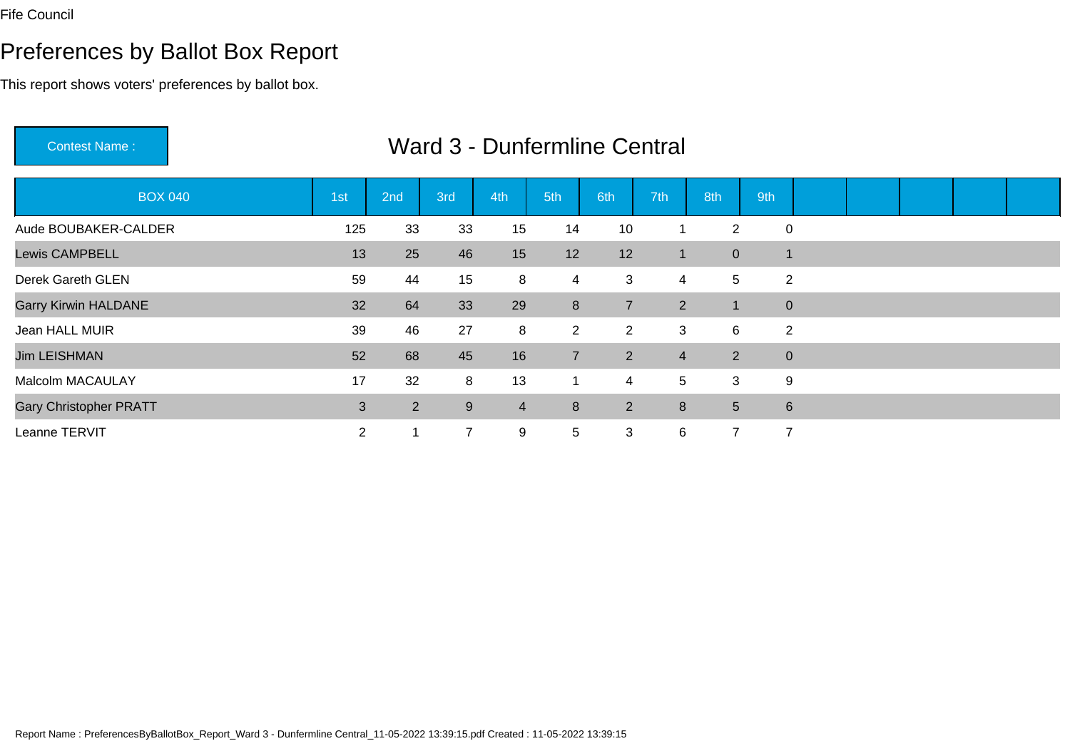# Preferences by Ballot Box Report

This report shows voters' preferences by ballot box.

Contest Name :

| <b>BOX 040</b>                | 1 <sub>st</sub> | 2nd | 3rd              | 4th            | 5th            | 6th            | 7th            | 8th             | 9th            |  |  |  |
|-------------------------------|-----------------|-----|------------------|----------------|----------------|----------------|----------------|-----------------|----------------|--|--|--|
| Aude BOUBAKER-CALDER          | 125             | 33  | 33               | 15             | 14             | 10             |                | $\overline{2}$  | $\mathbf 0$    |  |  |  |
| <b>Lewis CAMPBELL</b>         | 13              | 25  | 46               | 15             | 12             | 12             | -1             | $\pmb{0}$       |                |  |  |  |
| Derek Gareth GLEN             | 59              | 44  | 15               | 8              | 4              | 3              | 4              | 5               | 2              |  |  |  |
| <b>Garry Kirwin HALDANE</b>   | 32              | 64  | 33               | 29             | 8              | $\overline{7}$ | 2              |                 | $\mathbf{0}$   |  |  |  |
| Jean HALL MUIR                | 39              | 46  | 27               | 8              | $\overline{2}$ | $\overline{2}$ | 3              | 6               | 2              |  |  |  |
| <b>Jim LEISHMAN</b>           | 52              | 68  | 45               | 16             | $\overline{7}$ | $\overline{2}$ | $\overline{4}$ | 2               | $\mathbf{0}$   |  |  |  |
| <b>Malcolm MACAULAY</b>       | 17              | 32  | 8                | 13             |                | 4              | 5              | 3               | 9              |  |  |  |
| <b>Gary Christopher PRATT</b> | 3               | 2   | $\boldsymbol{9}$ | $\overline{4}$ | 8              | $\overline{2}$ | 8              | $5\phantom{.0}$ | 6              |  |  |  |
| Leanne TERVIT                 | $\overline{2}$  | 1   | $\overline{7}$   | 9              | 5              | 3              | 6              | ⇁               | $\overline{7}$ |  |  |  |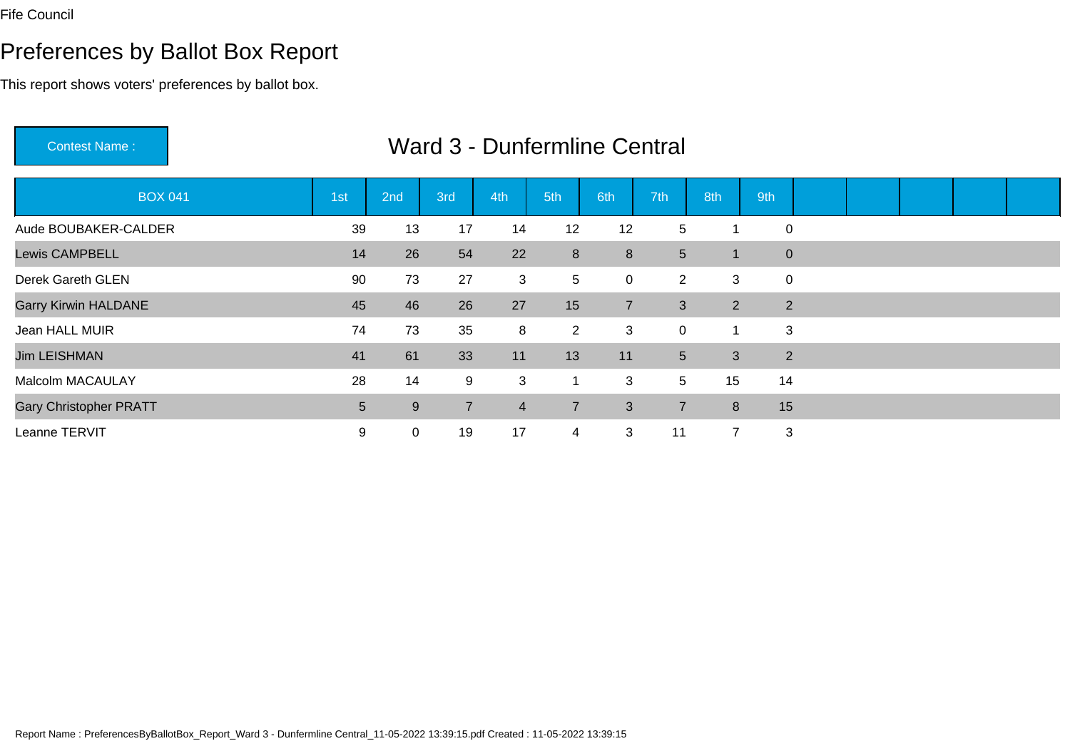# Preferences by Ballot Box Report

| <b>Contest Name:</b>          |     |              |                |                |                | Ward 3 - Dunfermline Central |                |                      |                |  |  |  |
|-------------------------------|-----|--------------|----------------|----------------|----------------|------------------------------|----------------|----------------------|----------------|--|--|--|
| <b>BOX 041</b>                | 1st | 2nd          | 3rd            | 4th            | 5th            | 6th                          | 7th            | 8th                  | 9th            |  |  |  |
| Aude BOUBAKER-CALDER          | 39  | 13           | 17             | 14             | 12             | 12                           | 5              | 1                    | $\mathbf 0$    |  |  |  |
| <b>Lewis CAMPBELL</b>         | 14  | 26           | 54             | 22             | 8              | 8                            | 5              | 1                    | $\pmb{0}$      |  |  |  |
| Derek Gareth GLEN             | 90  | 73           | 27             | $\mathbf{3}$   | 5              | $\mathbf 0$                  | $\overline{2}$ | 3                    | $\mathbf 0$    |  |  |  |
| <b>Garry Kirwin HALDANE</b>   | 45  | 46           | 26             | 27             | 15             | $\overline{7}$               | 3              | $\overline{2}$       | 2              |  |  |  |
| Jean HALL MUIR                | 74  | 73           | 35             | 8              | $\overline{2}$ | 3                            | $\mathbf 0$    | $\blacktriangleleft$ | 3              |  |  |  |
| <b>Jim LEISHMAN</b>           | 41  | 61           | 33             | 11             | 13             | 11                           | 5 <sup>5</sup> | 3                    | $\overline{2}$ |  |  |  |
| <b>Malcolm MACAULAY</b>       | 28  | 14           | 9              | 3              | $\mathbf{1}$   | 3                            | 5              | 15                   | 14             |  |  |  |
| <b>Gary Christopher PRATT</b> | 5   | 9            | $\overline{7}$ | $\overline{4}$ | $\overline{7}$ | 3                            | $\overline{7}$ | 8                    | 15             |  |  |  |
| Leanne TERVIT                 | 9   | $\mathbf{0}$ | 19             | 17             | 4              | 3                            | 11             | $\overline{7}$       | 3              |  |  |  |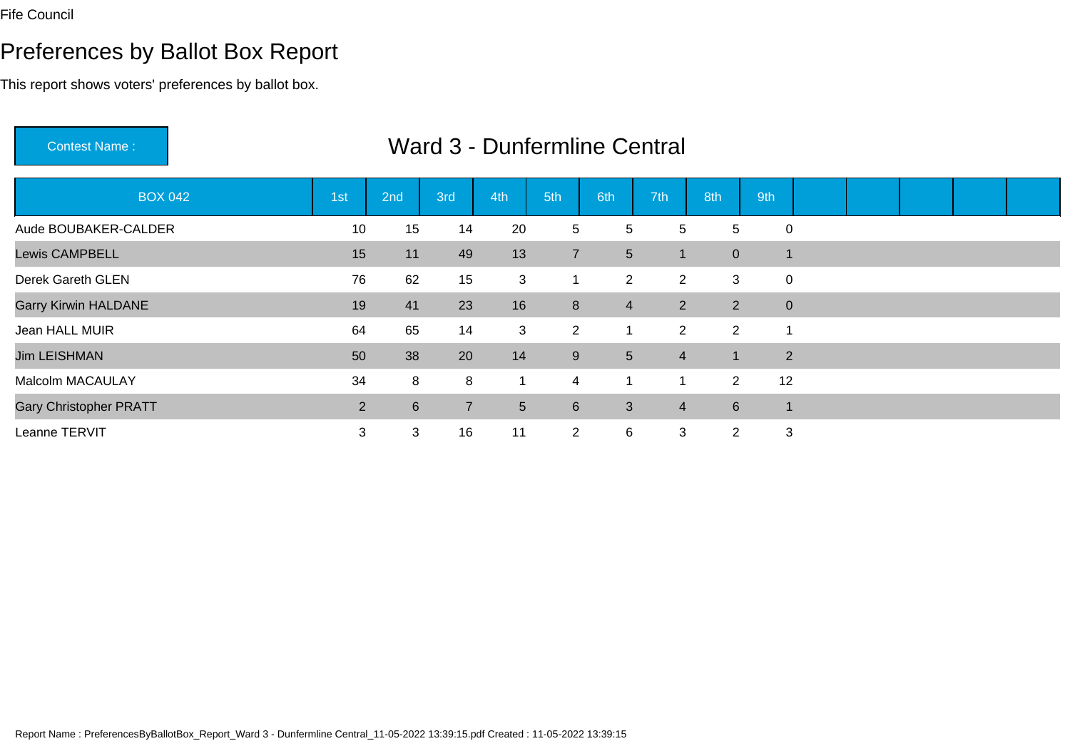# Preferences by Ballot Box Report

| <b>Contest Name:</b>          |                |     |                |                |                | Ward 3 - Dunfermline Central |                |                |                |                |  |  |
|-------------------------------|----------------|-----|----------------|----------------|----------------|------------------------------|----------------|----------------|----------------|----------------|--|--|
| <b>BOX 042</b>                | 1st            | 2nd | 3rd            | 4th            | 5th            | 6th                          | 7th            | 8th            | 9th            |                |  |  |
| Aude BOUBAKER-CALDER          | 10             | 15  | 14             | 20             | 5              | 5                            | 5              | 5              | $\mathbf 0$    |                |  |  |
| Lewis CAMPBELL                | 15             | 11  | 49             | 13             | $\overline{7}$ | $5\phantom{.0}$              | $\mathbf 1$    | $\overline{0}$ | 1              |                |  |  |
| Derek Gareth GLEN             | 76             | 62  | 15             | 3              | $\mathbf{1}$   | $\overline{2}$               | $\overline{2}$ | 3              | $\mathbf 0$    |                |  |  |
| <b>Garry Kirwin HALDANE</b>   | 19             | 41  | 23             | 16             | 8              | $\overline{4}$               | $2^{\circ}$    | $\overline{2}$ |                | $\mathbf{0}$   |  |  |
| Jean HALL MUIR                | 64             | 65  | 14             | 3              | $\overline{2}$ | 1                            | $\overline{2}$ | $\overline{2}$ | 1              |                |  |  |
| <b>Jim LEISHMAN</b>           | 50             | 38  | 20             | 14             | $9\,$          | $5\phantom{.0}$              | $\overline{4}$ |                |                | $\overline{2}$ |  |  |
| <b>Malcolm MACAULAY</b>       | 34             | 8   | 8              | $\mathbf{1}$   | $\overline{4}$ | $\mathbf{1}$                 | 1              | $\overline{2}$ | 12             |                |  |  |
| <b>Gary Christopher PRATT</b> | $\overline{2}$ | 6   | $\overline{7}$ | $5\phantom{.}$ | 6              | 3                            | $\overline{4}$ | $6^{\circ}$    | $\overline{1}$ |                |  |  |
| Leanne TERVIT                 | 3              | 3   | 16             | 11             | $\overline{2}$ | 6                            | 3              | $\overline{2}$ |                | 3              |  |  |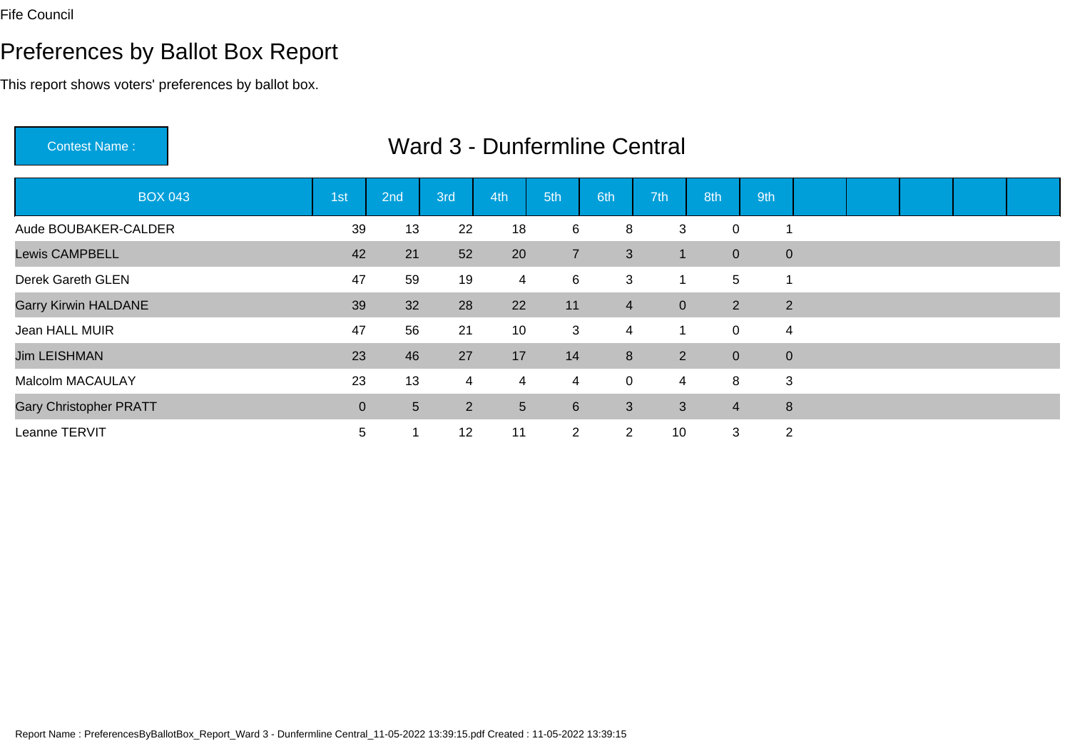# Preferences by Ballot Box Report

| <b>Contest Name:</b>          |                |                |                |     |                | Ward 3 - Dunfermline Central |                |                |     |                |  |  |
|-------------------------------|----------------|----------------|----------------|-----|----------------|------------------------------|----------------|----------------|-----|----------------|--|--|
| <b>BOX 043</b>                | 1st            | 2nd            | 3rd            | 4th | 5th            | 6th                          | 7th            | 8th            | 9th |                |  |  |
| Aude BOUBAKER-CALDER          | 39             | 13             | 22             | 18  | 6              | 8                            | 3              | 0              |     |                |  |  |
| <b>Lewis CAMPBELL</b>         | 42             | 21             | 52             | 20  | $\overline{7}$ | 3                            | $\mathbf 1$    | $\overline{0}$ |     | $\mathbf{0}$   |  |  |
| Derek Gareth GLEN             | 47             | 59             | 19             | 4   | 6              | $\mathbf{3}$                 |                | 5              |     |                |  |  |
| <b>Garry Kirwin HALDANE</b>   | 39             | 32             | 28             | 22  | 11             | $\overline{4}$               | $\overline{0}$ | $\overline{2}$ |     | $\overline{2}$ |  |  |
| Jean HALL MUIR                | 47             | 56             | 21             | 10  | 3              | $\overline{4}$               |                | 0              |     | 4              |  |  |
| <b>Jim LEISHMAN</b>           | 23             | 46             | 27             | 17  | 14             | 8                            | $2^{\circ}$    | $\overline{0}$ |     | $\mathbf{0}$   |  |  |
| <b>Malcolm MACAULAY</b>       | 23             | 13             | $\overline{4}$ | 4   | $\overline{4}$ | $\mathbf 0$                  | 4              | 8              |     | 3              |  |  |
| <b>Gary Christopher PRATT</b> | $\overline{0}$ | 5 <sup>5</sup> | $\overline{2}$ | 5   | 6              | 3                            | 3              | $\overline{4}$ |     | 8              |  |  |
| Leanne TERVIT                 | 5              |                | 12             | 11  | $\overline{2}$ | $\overline{2}$               | 10             | 3              |     | 2              |  |  |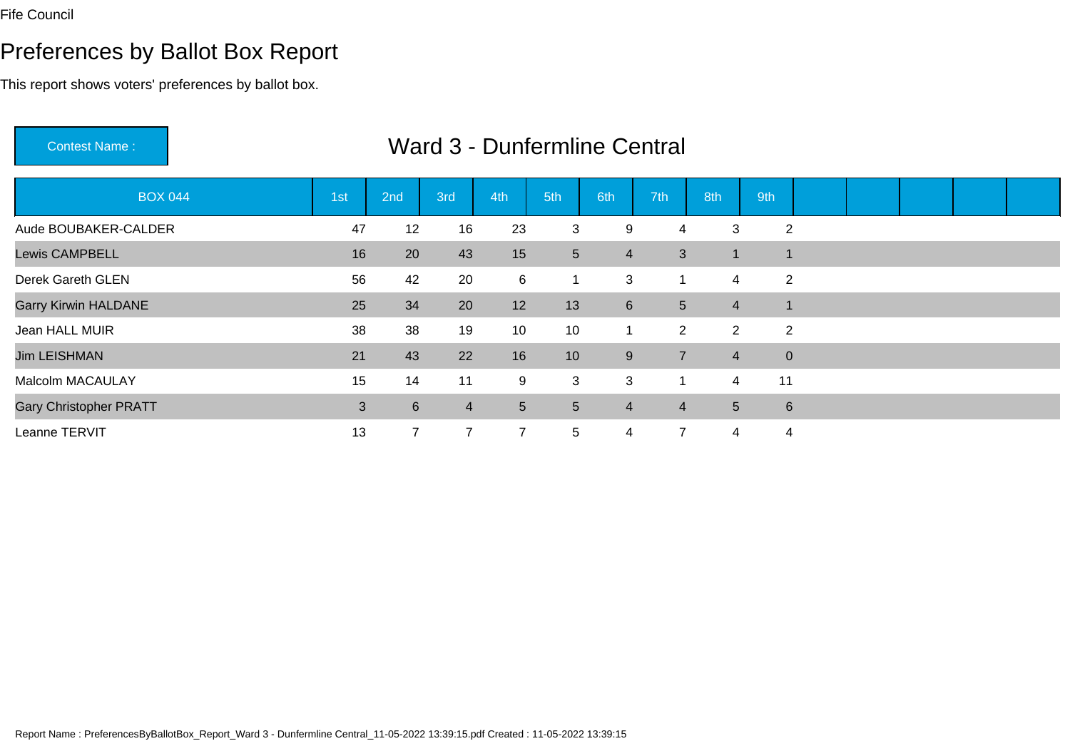# Preferences by Ballot Box Report

This report shows voters' preferences by ballot box.

| <b>Contest Name:</b>          |     |                | <b>Ward 3 - Dunfermline Central</b> |                |                 |                |                |                |                |  |  |  |
|-------------------------------|-----|----------------|-------------------------------------|----------------|-----------------|----------------|----------------|----------------|----------------|--|--|--|
| <b>BOX 044</b>                | 1st | 2nd            | 3rd                                 | 4th            | 5th             | 6th            | 7th            | 8th            | 9th            |  |  |  |
| Aude BOUBAKER-CALDER          | 47  | 12             | 16                                  | 23             | 3               | 9              | 4              | 3              | $\overline{2}$ |  |  |  |
| <b>Lewis CAMPBELL</b>         | 16  | 20             | 43                                  | 15             | $5\overline{)}$ | $\overline{4}$ | $\mathfrak{S}$ |                | $\mathbf 1$    |  |  |  |
| Derek Gareth GLEN             | 56  | 42             | 20                                  | 6              |                 | 3              |                | $\overline{4}$ | 2              |  |  |  |
| <b>Garry Kirwin HALDANE</b>   | 25  | 34             | 20                                  | 12             | 13              | $6\phantom{1}$ | 5 <sup>5</sup> | $\overline{4}$ | $\mathbf{1}$   |  |  |  |
| Jean HALL MUIR                | 38  | 38             | 19                                  | 10             | 10              | 1              | $\overline{2}$ | $\overline{2}$ | 2              |  |  |  |
| <b>Jim LEISHMAN</b>           | 21  | 43             | 22                                  | 16             | 10 <sup>1</sup> | 9              | $\overline{7}$ | $\overline{4}$ | $\mathbf{0}$   |  |  |  |
| Malcolm MACAULAY              | 15  | 14             | 11                                  | $9\,$          | 3               | 3              |                | $\overline{4}$ | 11             |  |  |  |
| <b>Gary Christopher PRATT</b> | 3   | $6\phantom{1}$ | $\overline{4}$                      | 5 <sup>5</sup> | 5 <sup>5</sup>  | $\overline{4}$ | 4              | 5 <sup>5</sup> | $\,6\,$        |  |  |  |
| Leanne TERVIT                 | 13  |                | $\overline{7}$                      | $\overline{7}$ | $5\phantom{.0}$ | 4              | $\overline{7}$ | 4              | 4              |  |  |  |

Report Name : PreferencesByBallotBox\_Report\_Ward 3 - Dunfermline Central\_11-05-2022 13:39:15.pdf Created : 11-05-2022 13:39:15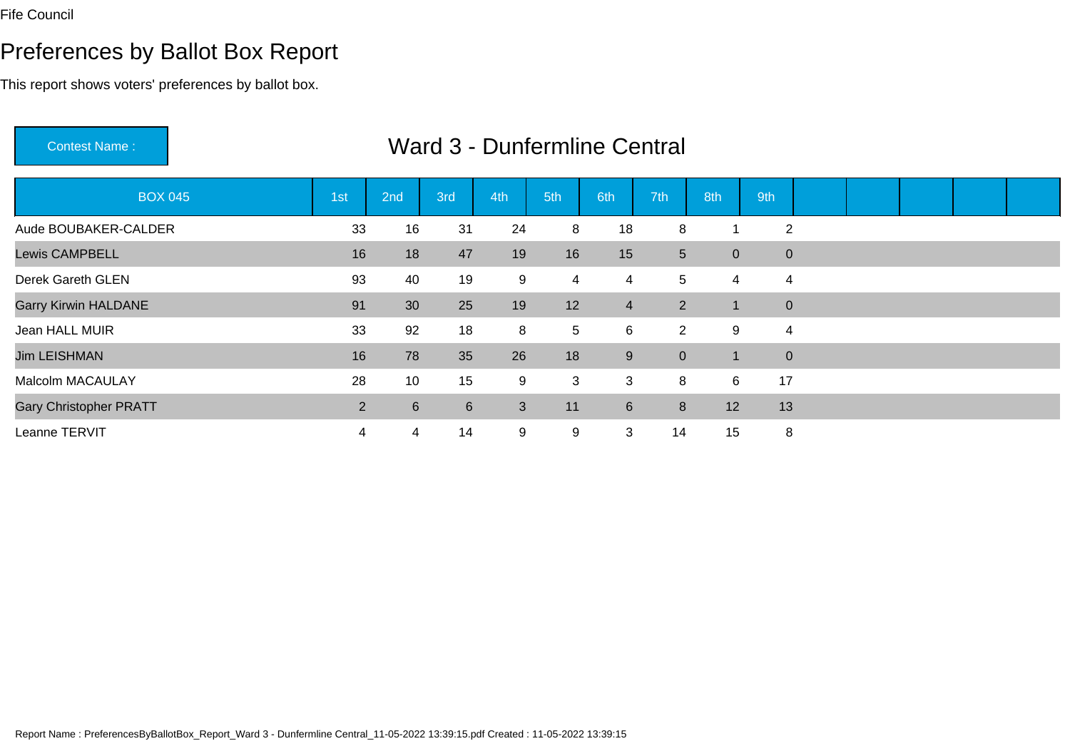# Preferences by Ballot Box Report

| <b>Contest Name:</b>          | Ward 3 - Dunfermline Central |             |     |     |                |                |                |                |                  |  |  |  |  |  |  |
|-------------------------------|------------------------------|-------------|-----|-----|----------------|----------------|----------------|----------------|------------------|--|--|--|--|--|--|
| <b>BOX 045</b>                | 1st                          | 2nd         | 3rd | 4th | 5th            | 6th            | 7th            | 8th            | 9th              |  |  |  |  |  |  |
| Aude BOUBAKER-CALDER          | 33                           | 16          | 31  | 24  | 8              | 18             | 8              |                | $\overline{2}$   |  |  |  |  |  |  |
| <b>Lewis CAMPBELL</b>         | 16                           | 18          | 47  | 19  | 16             | 15             | 5 <sup>5</sup> | $\overline{0}$ | $\boldsymbol{0}$ |  |  |  |  |  |  |
| Derek Gareth GLEN             | 93                           | 40          | 19  | 9   | $\overline{4}$ | 4              | 5              | 4              | 4                |  |  |  |  |  |  |
| <b>Garry Kirwin HALDANE</b>   | 91                           | 30          | 25  | 19  | 12             | $\overline{4}$ | $2^{\circ}$    | п.             | $\mathbf{0}$     |  |  |  |  |  |  |
| Jean HALL MUIR                | 33                           | 92          | 18  | 8   | 5              | 6              | $2^{\circ}$    | 9              | 4                |  |  |  |  |  |  |
| <b>Jim LEISHMAN</b>           | 16                           | 78          | 35  | 26  | 18             | 9              | $\overline{0}$ |                | $\mathbf 0$      |  |  |  |  |  |  |
| <b>Malcolm MACAULAY</b>       | 28                           | 10          | 15  | 9   | 3              | 3              | 8              | 6              | 17               |  |  |  |  |  |  |
| <b>Gary Christopher PRATT</b> | $\overline{2}$               | $6^{\circ}$ | 6   | 3   | 11             | $6\phantom{1}$ | 8              | 12             | 13               |  |  |  |  |  |  |
| Leanne TERVIT                 | 4                            | 4           | 14  | 9   | 9              | 3              | 14             | 15             | 8                |  |  |  |  |  |  |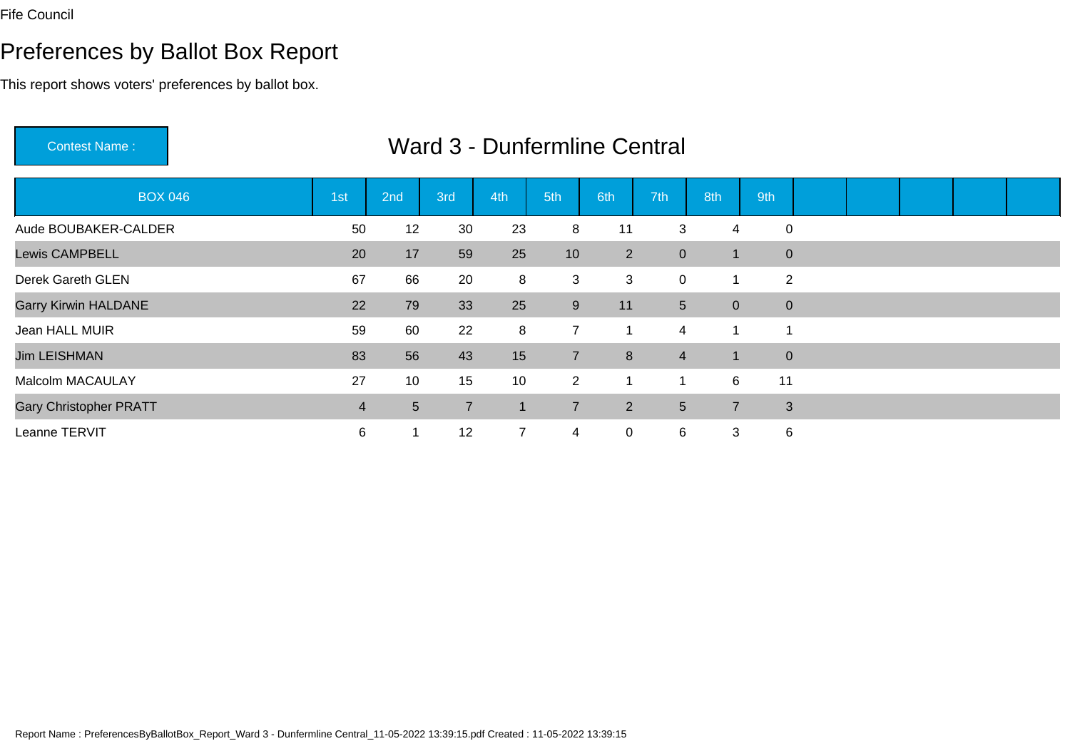Contest Name :

# Preferences by Ballot Box Report

This report shows voters' preferences by ballot box.

| <b>BOX 046</b>                | 1st | 2nd            | 3rd            | 4th            | 5th             | 6th         | 7th            | 8th            | 9th     |                |  |  |
|-------------------------------|-----|----------------|----------------|----------------|-----------------|-------------|----------------|----------------|---------|----------------|--|--|
| Aude BOUBAKER-CALDER          | 50  | 12             | 30             | 23             | 8               | 11          | 3              |                | 4       | $\mathbf 0$    |  |  |
| <b>Lewis CAMPBELL</b>         | 20  | 17             | 59             | 25             | 10 <sup>°</sup> | $2^{\circ}$ | $\mathbf{0}$   | -1             |         | $\mathbf{0}$   |  |  |
| Derek Gareth GLEN             | 67  | 66             | 20             | 8              | 3               | 3           | 0              |                |         | $\overline{2}$ |  |  |
| <b>Garry Kirwin HALDANE</b>   | 22  | 79             | 33             | 25             | 9               | 11          | 5 <sup>5</sup> | $\overline{0}$ |         | $\mathbf{0}$   |  |  |
| Jean HALL MUIR                | 59  | 60             | 22             | 8              | $\overline{7}$  |             | 4              |                |         |                |  |  |
| <b>Jim LEISHMAN</b>           | 83  | 56             | 43             | 15             | $\overline{7}$  | 8           | $\overline{4}$ | $\mathbf{1}$   |         | $\mathbf{0}$   |  |  |
| Malcolm MACAULAY              | 27  | 10             | 15             | 10             | $2^{\circ}$     |             |                |                | 11<br>6 |                |  |  |
| <b>Gary Christopher PRATT</b> | 4   | $5\phantom{.}$ | $\overline{7}$ | 1              | $\overline{7}$  | $2^{\circ}$ | 5 <sup>5</sup> | $\overline{7}$ |         | $\overline{3}$ |  |  |
| Leanne TERVIT                 | 6   |                | 12             | $\overline{7}$ | 4               | 0           | 6              | 3              |         | 6              |  |  |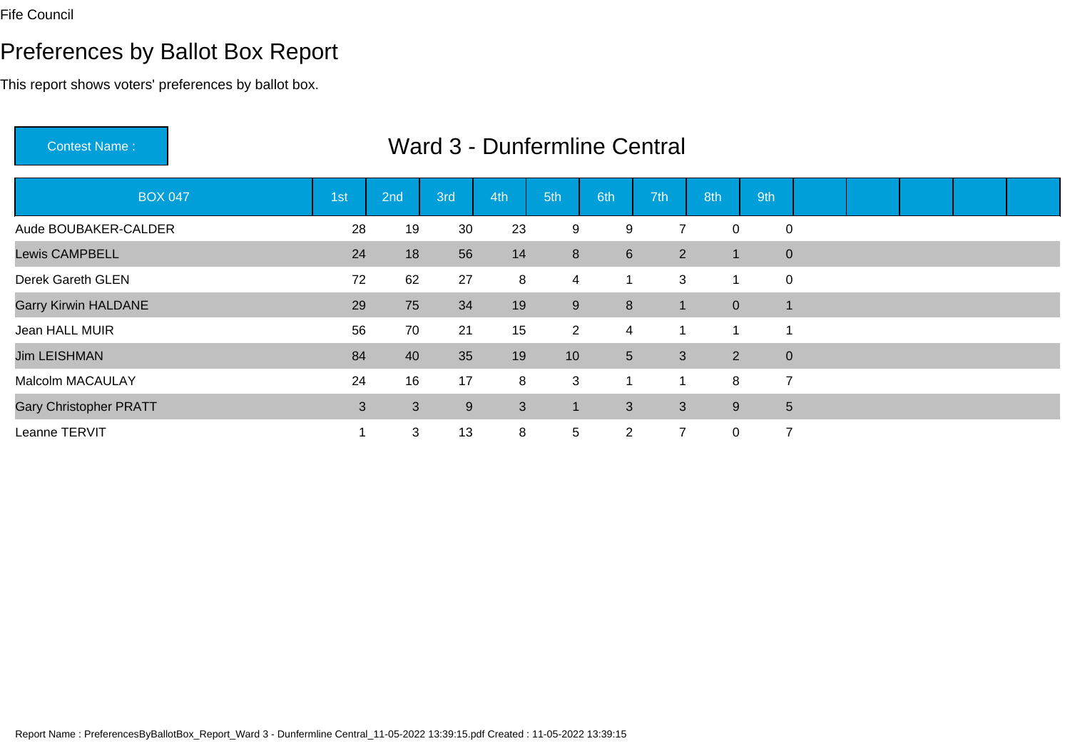# Preferences by Ballot Box Report

This report shows voters' preferences by ballot box.

| <b>Contest Name:</b>          |                   |     | Ward 3 - Dunfermline Central |     |                |                 |                |                |             |                 |  |  |
|-------------------------------|-------------------|-----|------------------------------|-----|----------------|-----------------|----------------|----------------|-------------|-----------------|--|--|
| <b>BOX 047</b>                | ∣1st <sup>i</sup> | 2nd | 3rd                          | 4th | 5th            | 6th             | 7th            | 8th            | 9th         |                 |  |  |
| Aude BOUBAKER-CALDER          | 28                | 19  | 30                           | 23  | 9              | 9               | $\overline{7}$ | 0              |             | $\mathbf 0$     |  |  |
| <b>Lewis CAMPBELL</b>         | 24                | 18  | 56                           | 14  | 8              | $6\phantom{1}$  | $\overline{2}$ | 1              |             | $\mathbf 0$     |  |  |
| Derek Gareth GLEN             | 72                | 62  | 27                           | 8   | 4              | $\mathbf 1$     | 3              | 1              |             | $\mathbf 0$     |  |  |
| <b>Garry Kirwin HALDANE</b>   | 29                | 75  | 34                           | 19  | 9              | 8               | 1              | $\overline{0}$ | $\mathbf 1$ |                 |  |  |
| Jean HALL MUIR                | 56                | 70  | 21                           | 15  | $\overline{2}$ | $\overline{4}$  |                |                |             |                 |  |  |
| <b>Jim LEISHMAN</b>           | 84                | 40  | 35                           | 19  | 10             | $5\overline{)}$ | 3              | $\overline{2}$ |             | $\mathbf{0}$    |  |  |
| Malcolm MACAULAY              | 24                | 16  | 17                           | 8   | 3              | 1               | 1              | 8              |             | $\overline{7}$  |  |  |
| <b>Gary Christopher PRATT</b> | $\mathbf{3}$      | 3   | 9                            | 3   | $\mathbf 1$    | 3               | 3              | 9              |             | $5\phantom{.0}$ |  |  |
| Leanne TERVIT                 |                   | 3   | 13                           | 8   | 5              | $\overline{2}$  | $\overline{7}$ | $\mathbf{0}$   |             | $\overline{7}$  |  |  |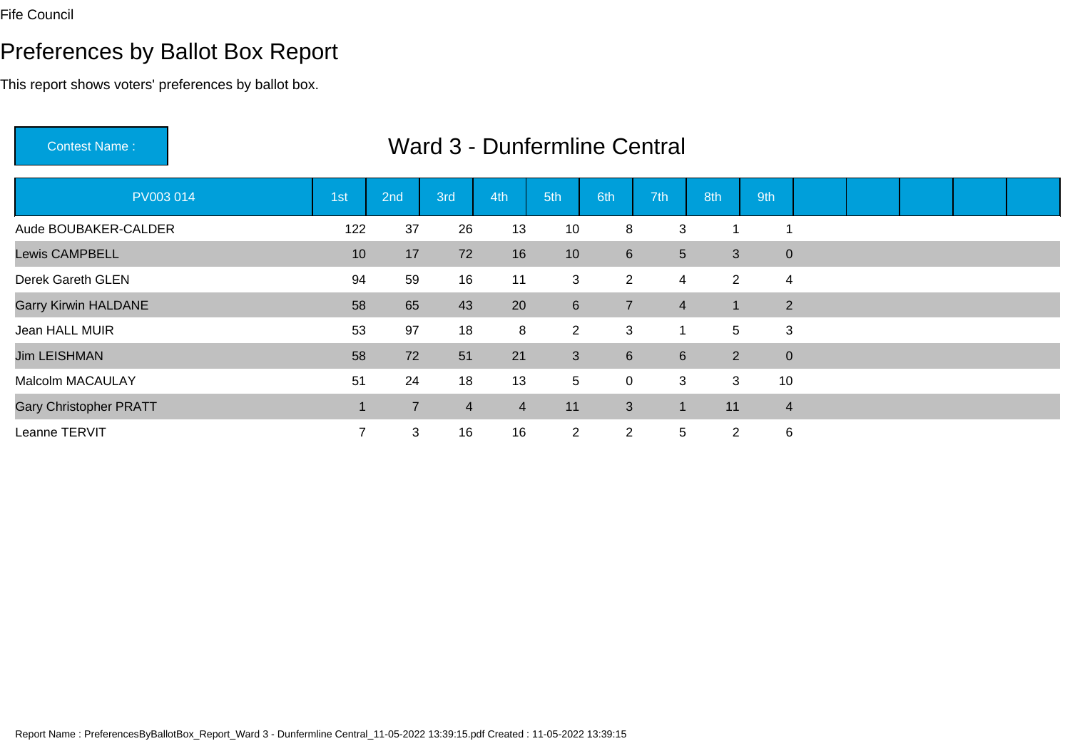Contest Name :

# Preferences by Ballot Box Report

This report shows voters' preferences by ballot box.

| PV003 014                     | 1st | 2nd            | 3rd            | 4th            | 5th             | 6th              | 7th              | 8th            | 9th                |                |  |  |
|-------------------------------|-----|----------------|----------------|----------------|-----------------|------------------|------------------|----------------|--------------------|----------------|--|--|
| Aude BOUBAKER-CALDER          | 122 | 37             | 26             | 13             | 10              | 8                | 3                | -1             | -4                 |                |  |  |
| <b>Lewis CAMPBELL</b>         | 10  | 17             | 72             | 16             | 10 <sup>°</sup> | $6\overline{6}$  |                  | 5 <sup>5</sup> | 3                  | $\mathbf 0$    |  |  |
| Derek Gareth GLEN             | 94  | 59             | 16             | 11             | 3               | $\overline{2}$   | 4                |                | 2                  | 4              |  |  |
| <b>Garry Kirwin HALDANE</b>   | 58  | 65             | 43             | 20             | $6\phantom{1}$  | $\overline{7}$   | $\overline{4}$   | 1              |                    | $\overline{2}$ |  |  |
| Jean HALL MUIR                | 53  | 97             | 18             | 8              | $\overline{2}$  | 3                |                  |                | 5                  | 3              |  |  |
| <b>Jim LEISHMAN</b>           | 58  | 72             | 51             | 21             | $\mathbf{3}$    | $6 \overline{6}$ | $6 \overline{6}$ |                | $\overline{2}$     | $\pmb{0}$      |  |  |
| Malcolm MACAULAY              | 51  | 24             | 18             | 13             | $5\phantom{.0}$ | $\pmb{0}$        | 3                |                | $\mathbf{3}$<br>10 |                |  |  |
| <b>Gary Christopher PRATT</b> |     | $\overline{7}$ | $\overline{4}$ | $\overline{4}$ | 11              | 3                | $\mathbf 1$      | 11             |                    | $\overline{4}$ |  |  |
| Leanne TERVIT                 | 7   | 3              | 16             | 16             | $\overline{2}$  | $\overline{2}$   | 5                |                | $\overline{2}$     | 6              |  |  |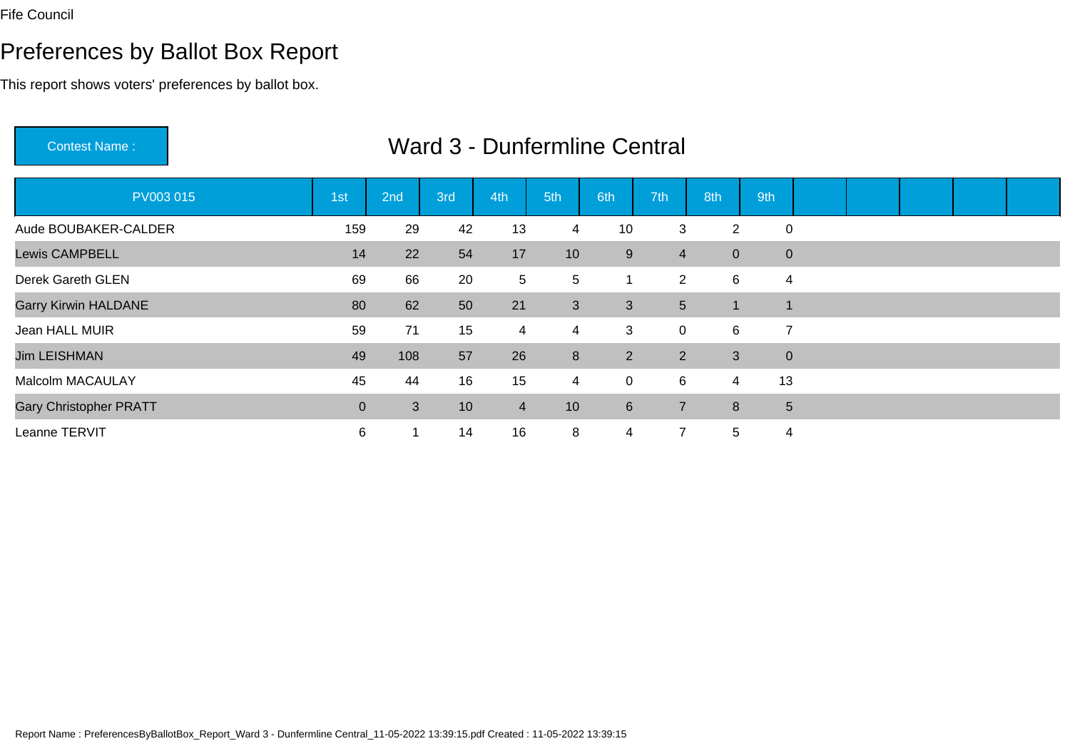# Preferences by Ballot Box Report

| <b>Contest Name:</b>          |             |     |     | Ward 3 - Dunfermline Central |                |                |                |                |                |  |  |  |
|-------------------------------|-------------|-----|-----|------------------------------|----------------|----------------|----------------|----------------|----------------|--|--|--|
| PV003 015                     | 1st         | 2nd | 3rd | 4th                          | 5th            | 6th            | 7th            | 8th            | 9th            |  |  |  |
| Aude BOUBAKER-CALDER          | 159         | 29  | 42  | 13                           | 4              | 10             | 3              | $\overline{2}$ | $\mathbf 0$    |  |  |  |
| <b>Lewis CAMPBELL</b>         | 14          | 22  | 54  | 17                           | 10             | 9              | $\overline{4}$ | $\overline{0}$ | $\pmb{0}$      |  |  |  |
| Derek Gareth GLEN             | 69          | 66  | 20  | 5                            | 5              |                | $\overline{2}$ | 6              | 4              |  |  |  |
| <b>Garry Kirwin HALDANE</b>   | 80          | 62  | 50  | 21                           | $\mathbf{3}$   | 3              | 5 <sup>5</sup> |                | 1              |  |  |  |
| Jean HALL MUIR                | 59          | 71  | 15  | 4                            | $\overline{4}$ | 3              | 0              | 6              | $\overline{7}$ |  |  |  |
| <b>Jim LEISHMAN</b>           | 49          | 108 | 57  | 26                           | 8              | $\overline{2}$ | $\overline{2}$ | 3              | $\mathbf{0}$   |  |  |  |
| Malcolm MACAULAY              | 45          | 44  | 16  | 15                           | $\overline{4}$ | $\mathbf 0$    | 6              | $\overline{4}$ | 13             |  |  |  |
| <b>Gary Christopher PRATT</b> | $\mathbf 0$ | 3   | 10  | $\overline{4}$               | 10             | $6\phantom{1}$ | 7              | 8              | 5              |  |  |  |
| Leanne TERVIT                 | 6           |     | 14  | 16                           | 8              | $\overline{4}$ | 7              | 5              | 4              |  |  |  |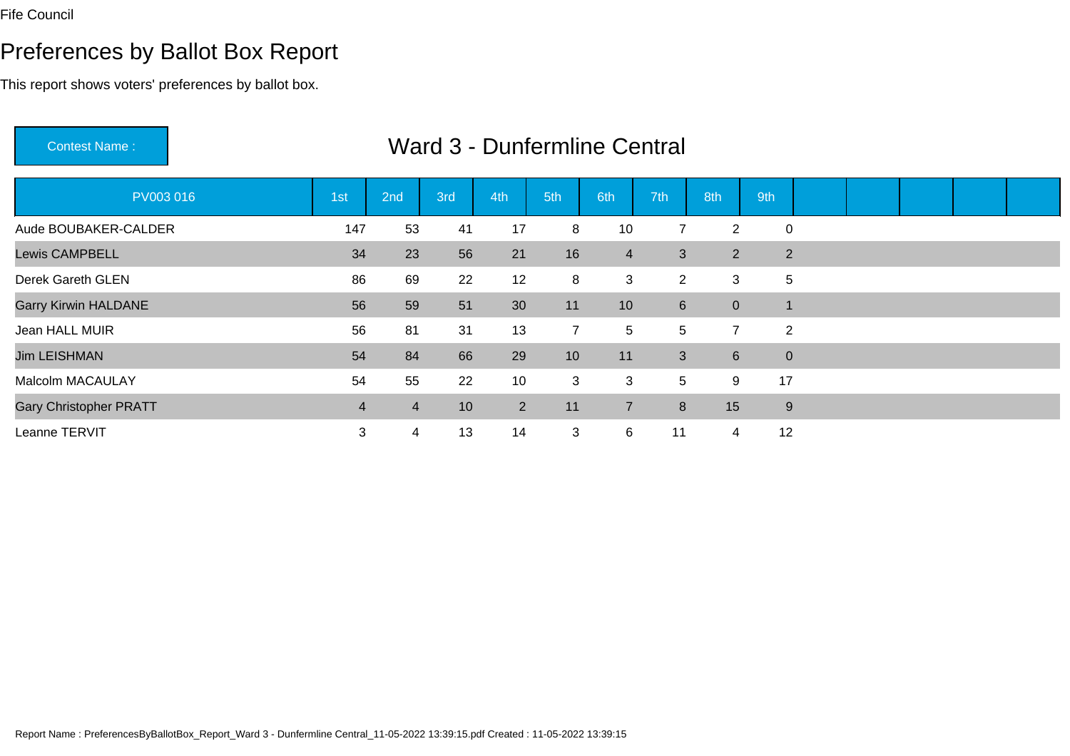# Preferences by Ballot Box Report

| <b>Contest Name:</b>          | Ward 3 - Dunfermline Central |                |     |     |                 |                |                |                |             |  |  |  |  |  |  |
|-------------------------------|------------------------------|----------------|-----|-----|-----------------|----------------|----------------|----------------|-------------|--|--|--|--|--|--|
| PV003016                      | 1st                          | 2nd            | 3rd | 4th | 5th             | 6th            | 7th            | 8th            | 9th         |  |  |  |  |  |  |
| Aude BOUBAKER-CALDER          | 147                          | 53             | 41  | 17  | 8               | 10             | $\overline{7}$ | $\overline{2}$ | $\mathbf 0$ |  |  |  |  |  |  |
| <b>Lewis CAMPBELL</b>         | 34                           | 23             | 56  | 21  | 16              | $\overline{4}$ | 3              | $\overline{2}$ | 2           |  |  |  |  |  |  |
| Derek Gareth GLEN             | 86                           | 69             | 22  | 12  | 8               | $\mathbf{3}$   | $\overline{2}$ | 3              | 5           |  |  |  |  |  |  |
| <b>Garry Kirwin HALDANE</b>   | 56                           | 59             | 51  | 30  | 11              | 10             | 6 <sup>1</sup> | $\overline{0}$ | $\mathbf 1$ |  |  |  |  |  |  |
| Jean HALL MUIR                | 56                           | 81             | 31  | 13  | $\overline{7}$  | 5              | 5              | $\overline{7}$ | 2           |  |  |  |  |  |  |
| <b>Jim LEISHMAN</b>           | 54                           | 84             | 66  | 29  | 10 <sup>°</sup> | 11             | 3              | $6^{\circ}$    | $\mathbf 0$ |  |  |  |  |  |  |
| <b>Malcolm MACAULAY</b>       | 54                           | 55             | 22  | 10  | 3               | 3              | 5              | 9              | 17          |  |  |  |  |  |  |
| <b>Gary Christopher PRATT</b> | $\overline{4}$               | $\overline{4}$ | 10  | 2   | 11              | $\overline{7}$ | 8              | 15             | 9           |  |  |  |  |  |  |
| Leanne TERVIT                 | 3                            | 4              | 13  | 14  | 3               | 6              | 11             | 4              | 12          |  |  |  |  |  |  |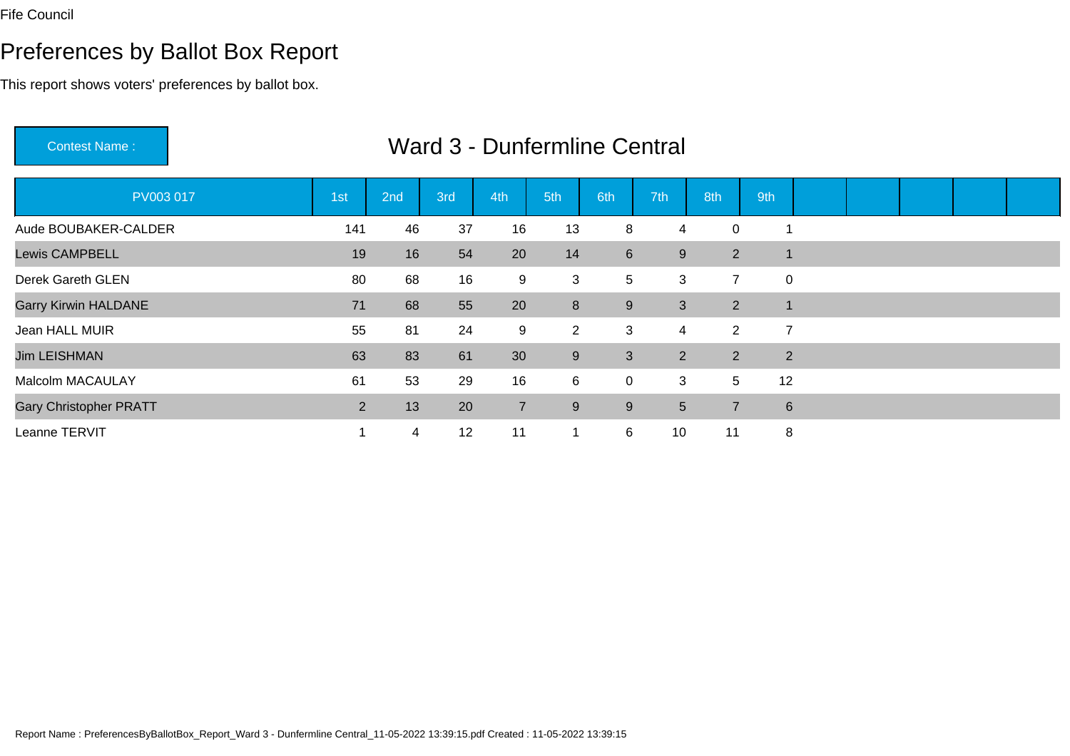# Preferences by Ballot Box Report

| <b>Contest Name:</b>          |     |     |     |                | <b>Ward 3 - Dunfermline Central</b> |                |                |                |                |  |  |  |
|-------------------------------|-----|-----|-----|----------------|-------------------------------------|----------------|----------------|----------------|----------------|--|--|--|
| PV003 017                     | 1st | 2nd | 3rd | 4th            | 5th                                 | 6th            | 7th            | 8th            | 9th            |  |  |  |
| Aude BOUBAKER-CALDER          | 141 | 46  | 37  | 16             | 13                                  | 8              | 4              | 0              |                |  |  |  |
| <b>Lewis CAMPBELL</b>         | 19  | 16  | 54  | 20             | 14                                  | $6\phantom{1}$ | 9              | $\overline{2}$ |                |  |  |  |
| Derek Gareth GLEN             | 80  | 68  | 16  | 9              | 3                                   | 5              | 3              | $\overline{7}$ | 0              |  |  |  |
| <b>Garry Kirwin HALDANE</b>   | 71  | 68  | 55  | 20             | $\bf 8$                             | 9              | 3              | $\overline{2}$ | $\overline{1}$ |  |  |  |
| Jean HALL MUIR                | 55  | 81  | 24  | 9              | $\overline{2}$                      | 3              | 4              | $\mathbf{2}$   | $\overline{7}$ |  |  |  |
| <b>Jim LEISHMAN</b>           | 63  | 83  | 61  | 30             | 9                                   | 3              | $\overline{2}$ | $\overline{2}$ | 2              |  |  |  |
| Malcolm MACAULAY              | 61  | 53  | 29  | 16             | 6                                   | $\mathbf 0$    | 3              | 5              | 12             |  |  |  |
| <b>Gary Christopher PRATT</b> | 2   | 13  | 20  | $\overline{7}$ | 9                                   | 9              | 5              | $\overline{7}$ | 6              |  |  |  |
| Leanne TERVIT                 |     | 4   | 12  | 11             | $\mathbf{1}$                        | 6              | 10             | 11             | 8              |  |  |  |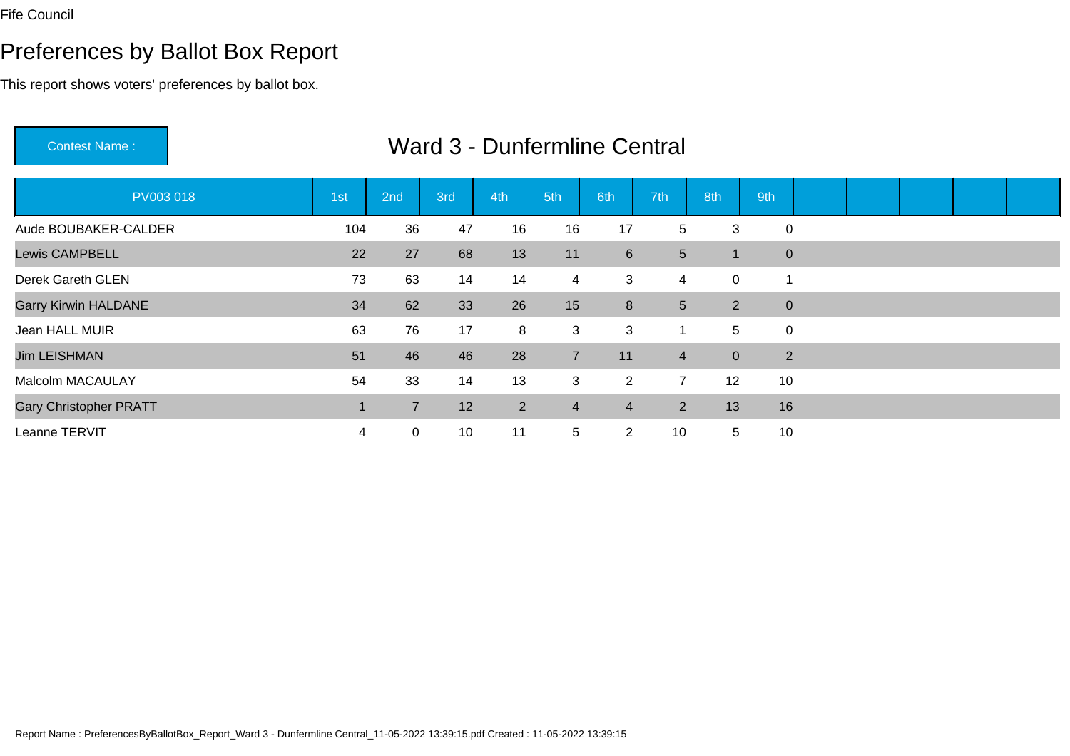Contest Name :

# Preferences by Ballot Box Report

This report shows voters' preferences by ballot box.

| PV003 018                     | 1st | 2nd            | 3rd | 4th | 5th            | 6th                     | 7th            | 8th             | 9th            |  |  |  |
|-------------------------------|-----|----------------|-----|-----|----------------|-------------------------|----------------|-----------------|----------------|--|--|--|
| Aude BOUBAKER-CALDER          | 104 | 36             | 47  | 16  | 16             | 17                      | 5              | 3               | $\mathbf 0$    |  |  |  |
| <b>Lewis CAMPBELL</b>         | 22  | 27             | 68  | 13  | 11             | $6 \,$                  | 5 <sup>5</sup> |                 | $\overline{0}$ |  |  |  |
| Derek Gareth GLEN             | 73  | 63             | 14  | 14  | $\overline{4}$ | 3                       | 4              | $\mathbf 0$     |                |  |  |  |
| <b>Garry Kirwin HALDANE</b>   | 34  | 62             | 33  | 26  | 15             | 8                       | 5 <sup>5</sup> | $\overline{2}$  | $\overline{0}$ |  |  |  |
| Jean HALL MUIR                | 63  | 76             | 17  | 8   | 3              | 3                       | 1              | $5\phantom{.0}$ | $\mathbf 0$    |  |  |  |
| <b>Jim LEISHMAN</b>           | 51  | 46             | 46  | 28  | $\overline{7}$ | 11                      | $\overline{4}$ | $\overline{0}$  | 2              |  |  |  |
| <b>Malcolm MACAULAY</b>       | 54  | 33             | 14  | 13  | 3              | $\overline{2}$          | $\overline{7}$ | 12              | 10             |  |  |  |
| <b>Gary Christopher PRATT</b> |     | $\overline{7}$ | 12  | 2   | $\overline{4}$ | $\overline{\mathbf{4}}$ | $\overline{2}$ | 13              | 16             |  |  |  |
| Leanne TERVIT                 | 4   | $\mathbf 0$    | 10  | 11  | 5              | $\overline{2}$          | 10             | 5               | 10             |  |  |  |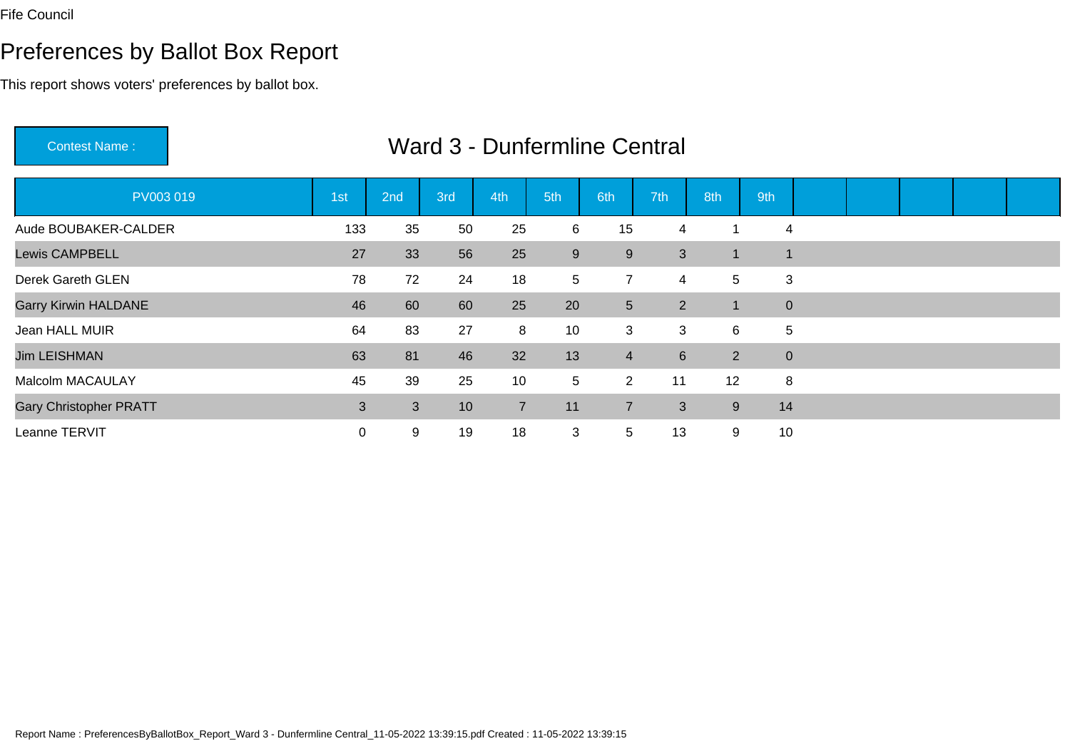Contest Name :

# Preferences by Ballot Box Report

This report shows voters' preferences by ballot box.

| PV003019                      | 1st | 2nd | 3rd | 4th            | 5th   | 6th            | 7th            | 8th                  | 9th          |  |  |  |
|-------------------------------|-----|-----|-----|----------------|-------|----------------|----------------|----------------------|--------------|--|--|--|
| Aude BOUBAKER-CALDER          | 133 | 35  | 50  | 25             | 6     | 15             | 4              |                      | 4            |  |  |  |
| <b>Lewis CAMPBELL</b>         | 27  | 33  | 56  | 25             | $9\,$ | 9              | 3              | -1                   | 1            |  |  |  |
| Derek Gareth GLEN             | 78  | 72  | 24  | 18             | 5     | $\overline{7}$ | 4              | 5                    | 3            |  |  |  |
| <b>Garry Kirwin HALDANE</b>   | 46  | 60  | 60  | 25             | 20    | 5 <sup>5</sup> | $\overline{2}$ | $\blacktriangleleft$ | $\mathbf{0}$ |  |  |  |
| Jean HALL MUIR                | 64  | 83  | 27  | 8              | 10    | 3              | 3              | 6                    | 5            |  |  |  |
| <b>Jim LEISHMAN</b>           | 63  | 81  | 46  | 32             | 13    | $\overline{4}$ | 6              | $\overline{2}$       | $\mathbf{0}$ |  |  |  |
| Malcolm MACAULAY              | 45  | 39  | 25  | 10             | 5     | $\overline{2}$ | 11             | 12                   | 8            |  |  |  |
| <b>Gary Christopher PRATT</b> | 3   | 3   | 10  | $\overline{7}$ | 11    | $\overline{7}$ | 3              | 9                    | 14           |  |  |  |
| Leanne TERVIT                 | 0   | 9   | 19  | 18             | 3     | 5              | 13             | 9                    | 10           |  |  |  |